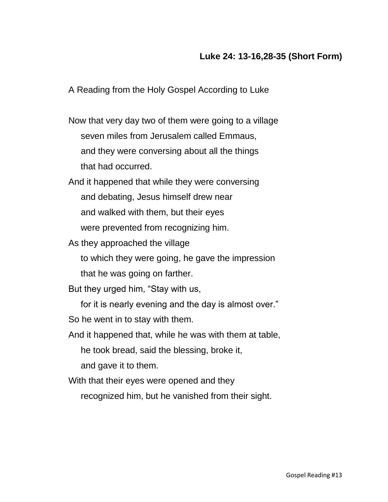## **Luke 24: 13-16,28-35 (Short Form)**

A Reading from the Holy Gospel According to Luke

Now that very day two of them were going to a village seven miles from Jerusalem called Emmaus, and they were conversing about all the things that had occurred.

And it happened that while they were conversing and debating, Jesus himself drew near and walked with them, but their eyes were prevented from recognizing him.

As they approached the village

to which they were going, he gave the impression

that he was going on farther.

But they urged him, "Stay with us,

for it is nearly evening and the day is almost over."

So he went in to stay with them.

And it happened that, while he was with them at table,

he took bread, said the blessing, broke it,

and gave it to them.

With that their eyes were opened and they

recognized him, but he vanished from their sight.